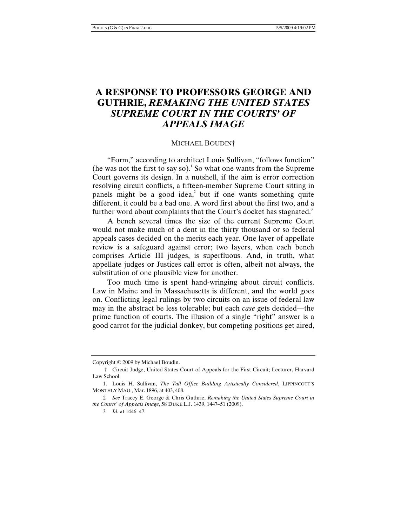## **A RESPONSE TO PROFESSORS GEORGE AND GUTHRIE,** *REMAKING THE UNITED STATES SUPREME COURT IN THE COURTS' OF APPEALS IMAGE*

## MICHAEL BOUDIN†

"Form," according to architect Louis Sullivan, "follows function" (he was not the first to say so).<sup>1</sup> So what one wants from the Supreme Court governs its design. In a nutshell, if the aim is error correction resolving circuit conflicts, a fifteen-member Supreme Court sitting in panels might be a good idea,<sup>2</sup> but if one wants something quite different, it could be a bad one. A word first about the first two, and a further word about complaints that the Court's docket has stagnated.<sup>3</sup>

A bench several times the size of the current Supreme Court would not make much of a dent in the thirty thousand or so federal appeals cases decided on the merits each year. One layer of appellate review is a safeguard against error; two layers, when each bench comprises Article III judges, is superfluous. And, in truth, what appellate judges or Justices call error is often, albeit not always, the substitution of one plausible view for another.

Too much time is spent hand-wringing about circuit conflicts. Law in Maine and in Massachusetts is different, and the world goes on. Conflicting legal rulings by two circuits on an issue of federal law may in the abstract be less tolerable; but each *case* gets decided—the prime function of courts. The illusion of a single "right" answer is a good carrot for the judicial donkey, but competing positions get aired,

Copyright © 2009 by Michael Boudin.

 <sup>†</sup> Circuit Judge, United States Court of Appeals for the First Circuit; Lecturer, Harvard Law School.

 <sup>1.</sup> Louis H. Sullivan, *The Tall Office Building Artistically Considered*, LIPPINCOTT'S MONTHLY MAG., Mar. 1896, at 403, 408.

<sup>2</sup>*. See* Tracey E. George & Chris Guthrie, *Remaking the United States Supreme Court in the Courts' of Appeals Image*, 58 DUKE L.J. 1439, 1447–51 (2009).

<sup>3</sup>*. Id.* at 1446–47.